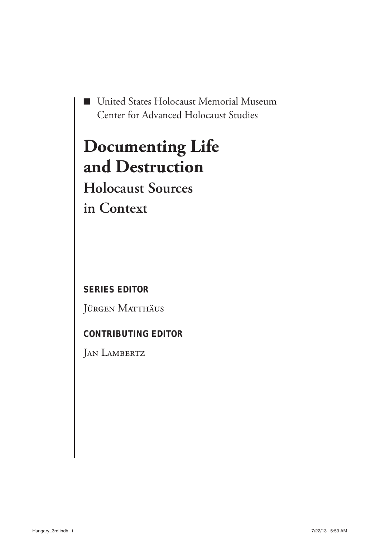■ United States Holocaust Memorial Museum Center for Advanced Holocaust Studies

# **Documenting Life and Destruction**

**Holocaust Sources in Context**

**SERIES EDITOR**

Jürgen Matthäus

## **CONTRIBUTING EDITOR**

JAN LAMBERTZ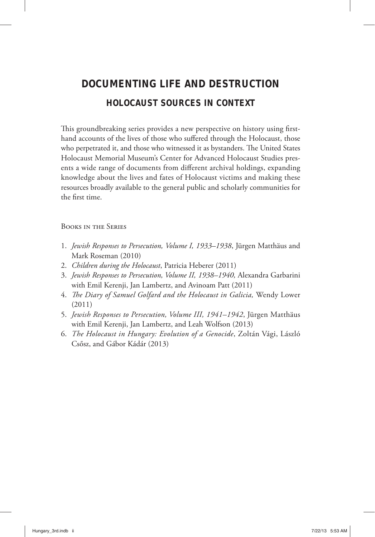## **DOCUMENTING LIFE AND DESTRUCTION HOLOCAUST SOURCES IN CONTEXT**

This groundbreaking series provides a new perspective on history using firsthand accounts of the lives of those who suffered through the Holocaust, those who perpetrated it, and those who witnessed it as bystanders. The United States Holocaust Memorial Museum's Center for Advanced Holocaust Studies presents a wide range of documents from different archival holdings, expanding knowledge about the lives and fates of Holocaust victims and making these resources broadly available to the general public and scholarly communities for the first time.

#### Books in the Series

- 1 . *Jewish Responses to Persecution, Volume I, 1933–1938*, Jürgen Matthäus and Mark Roseman (2010)
- 2. *Children during the Holocaust*, Patricia Heberer (2011)
- 3. *Jewish Responses to Persecution, Volume II, 1938–1940,* Alexandra Garbarini with Emil Kerenji, Jan Lambertz, and Avinoam Patt (2011)
- 4. *The Diary of Samuel Golfard and the Holocaust in Galicia*, Wendy Lower (2011)
- 5. *Jewish Responses to Persecution, Volume III, 1941–1942*, Jürgen Matthäus with Emil Kerenji, Jan Lambertz, and Leah Wolfson (2013)
- 6. *The Holocaust in Hungary: Evolution of a Genocide*, Zoltán Vági, László Csősz, and Gábor Kádár (2013)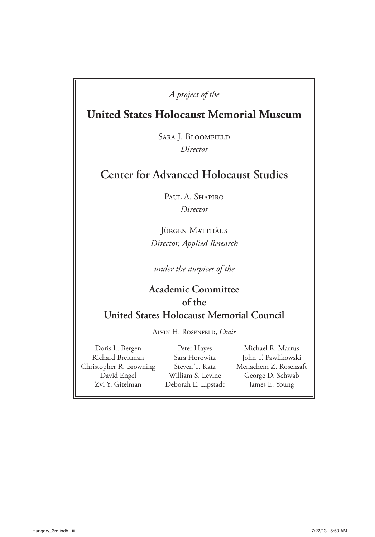#### *A project of the*

## **United States Holocaust Memorial Museum**

Sara J. Bloomfield *Director*

## **Center for Advanced Holocaust Studies**

Paul A. Shapiro *Director*

Jürgen Matthäus *Director, Applied Research*

*under the auspices of the*

### **Academic Committee of the United States Holocaust Memorial Council**

Alvin H. Rosenfeld, *Chair*

Doris L. Bergen Richard Breitman Christopher R. Browning David Engel Zvi Y. Gitelman

Peter Hayes Sara Horowitz Steven T. Katz William S. Levine Deborah E. Lipstadt

Michael R. Marrus John T. Pawlikowski Menachem Z. Rosensaft George D. Schwab James E. Young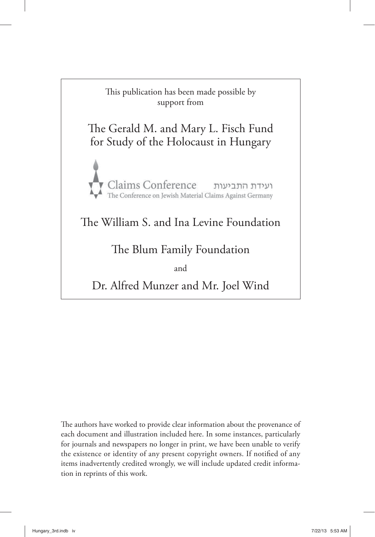

The authors have worked to provide clear information about the provenance of each document and illustration included here. In some instances, particularly for journals and newspapers no longer in print, we have been unable to verify the existence or identity of any present copyright owners. If notified of any items inadvertently credited wrongly, we will include updated credit information in reprints of this work.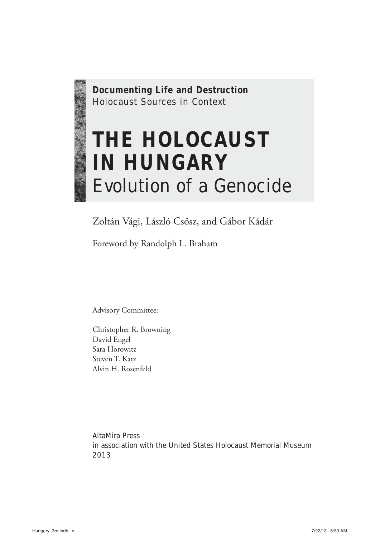**Documenting Life and Destruction** Holocaust Sources in Context

# **THE HOLOCAUST IN HUNGARY** Evolution of a Genocide

Zoltán Vági, László Csősz, and Gábor Kádár

Foreword by Randolph L. Braham

Advisory Committee:

Christopher R. Browning David Engel Sara Horowitz Steven T. Katz Alvin H. Rosenfeld

AltaMira Press in association with the United States Holocaust Memorial Museum 2013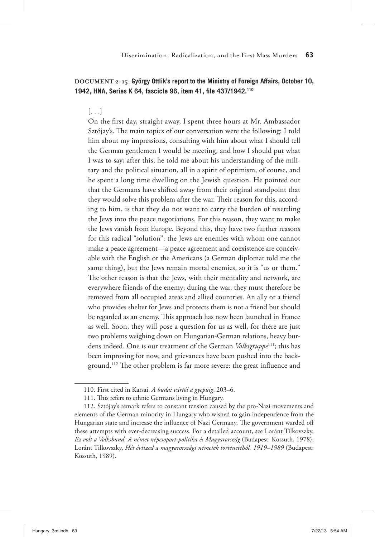#### **DOCUMENT 2-15: György Ottlik's report to the Ministry of Foreign Affairs, October 10, 1942, HNA, Series K 64, fascicle 96, item 41, file 437/1942.<sup>110</sup>**

#### [. . .]

On the first day, straight away, I spent three hours at Mr. Ambassador Sztójay's. The main topics of our conversation were the following: I told him about my impressions, consulting with him about what I should tell the German gentlemen I would be meeting, and how I should put what I was to say; after this, he told me about his understanding of the military and the political situation, all in a spirit of optimism, of course, and he spent a long time dwelling on the Jewish question. He pointed out that the Germans have shifted away from their original standpoint that they would solve this problem after the war. Their reason for this, according to him, is that they do not want to carry the burden of resettling the Jews into the peace negotiations. For this reason, they want to make the Jews vanish from Europe. Beyond this, they have two further reasons for this radical "solution": the Jews are enemies with whom one cannot make a peace agreement—a peace agreement and coexistence are conceivable with the English or the Americans (a German diplomat told me the same thing), but the Jews remain mortal enemies, so it is "us or them." The other reason is that the Jews, with their mentality and network, are everywhere friends of the enemy; during the war, they must therefore be removed from all occupied areas and allied countries. An ally or a friend who provides shelter for Jews and protects them is not a friend but should be regarded as an enemy. This approach has now been launched in France as well. Soon, they will pose a question for us as well, for there are just two problems weighing down on Hungarian-German relations, heavy burdens indeed. One is our treatment of the German *Volksgruppe*111; this has been improving for now, and grievances have been pushed into the background.<sup>112</sup> The other problem is far more severe: the great influence and

<sup>110.</sup> First cited in Karsai, *A budai vártól a gyepüig*, 203–6.

<sup>111.</sup> This refers to ethnic Germans living in Hungary.

<sup>112.</sup> Sztójay's remark refers to constant tension caused by the pro-Nazi movements and elements of the German minority in Hungary who wished to gain independence from the Hungarian state and increase the influence of Nazi Germany. The government warded off these attempts with ever-decreasing success. For a detailed account, see Loránt Tilkovszky, *Ez volt a Volksbund. A német népcsoport-politika és Magyarország* (Budapest: Kossuth, 1978); Loránt Tilkovszky, *Hét évtized a magyarországi németek történetéből. 1919*–*1989* (Budapest: Kossuth, 1989).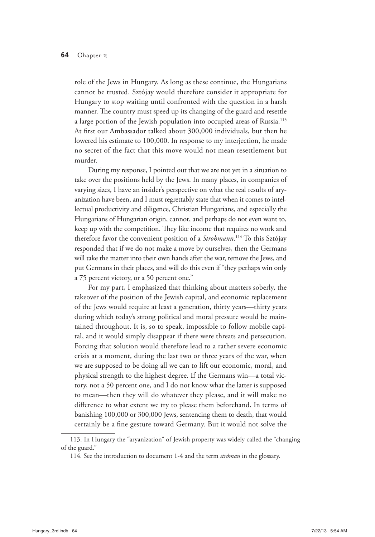#### **64** Chapter 2

role of the Jews in Hungary. As long as these continue, the Hungarians cannot be trusted. Sztójay would therefore consider it appropriate for Hungary to stop waiting until confronted with the question in a harsh manner. The country must speed up its changing of the guard and resettle a large portion of the Jewish population into occupied areas of Russia.<sup>113</sup> At first our Ambassador talked about 300,000 individuals, but then he lowered his estimate to 100,000. In response to my interjection, he made no secret of the fact that this move would not mean resettlement but murder.

During my response, I pointed out that we are not yet in a situation to take over the positions held by the Jews. In many places, in companies of varying sizes, I have an insider's perspective on what the real results of aryanization have been, and I must regrettably state that when it comes to intellectual productivity and diligence, Christian Hungarians, and especially the Hungarians of Hungarian origin, cannot, and perhaps do not even want to, keep up with the competition. They like income that requires no work and therefore favor the convenient position of a *Strohmann*. 114 To this Sztójay responded that if we do not make a move by ourselves, then the Germans will take the matter into their own hands after the war, remove the Jews, and put Germans in their places, and will do this even if "they perhaps win only a 75 percent victory, or a 50 percent one."

For my part, I emphasized that thinking about matters soberly, the takeover of the position of the Jewish capital, and economic replacement of the Jews would require at least a generation, thirty years—thirty years during which today's strong political and moral pressure would be maintained throughout. It is, so to speak, impossible to follow mobile capital, and it would simply disappear if there were threats and persecution. Forcing that solution would therefore lead to a rather severe economic crisis at a moment, during the last two or three years of the war, when we are supposed to be doing all we can to lift our economic, moral, and physical strength to the highest degree. If the Germans win—a total victory, not a 50 percent one, and I do not know what the latter is supposed to mean—then they will do whatever they please, and it will make no difference to what extent we try to please them beforehand. In terms of banishing 100,000 or 300,000 Jews, sentencing them to death, that would certainly be a fine gesture toward Germany. But it would not solve the

<sup>113.</sup> In Hungary the "aryanization" of Jewish property was widely called the "changing of the guard."

<sup>114.</sup> See the introduction to document 1-4 and the term *stróman* in the glossary.